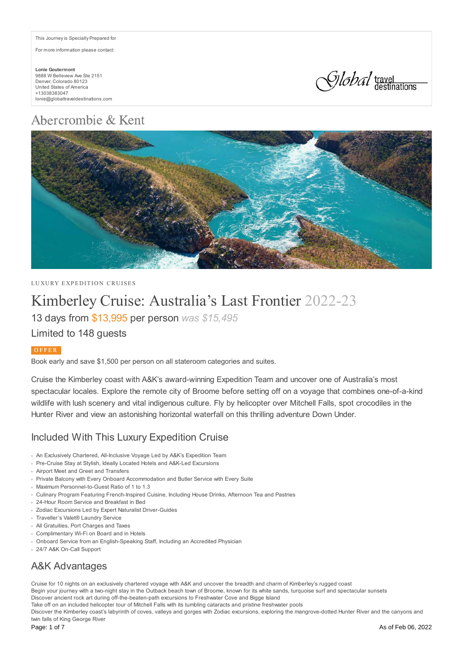This Journey is Specially Prepared for

For more information please contact:

**Lonie Goutermont** 9888 W Belleview Ave Ste 2151 Denver, Colorado 80123 United States of America +13038383047 lonie@globaltraveldestinations.com



# Abercrombie & Kent



LUXURY EXPEDITION CRUISES

# Kimberley Cruise: Australia's Last Frontier 2022-23

13 days from \$13,995 per person *was \$15,495*

### Limited to 148 guests

#### O F F E R

Book early and save \$1,500 per person on all stateroom categories and suites.

Cruise the Kimberley coast with A&K's award-winning Expedition Team and uncover one of Australia's most spectacular locales. Explore the remote city of Broome before setting off on a voyage that combines one-of-a-kind wildlife with lush scenery and vital indigenous culture. Fly by helicopter over Mitchell Falls, spot crocodiles in the Hunter River and view an astonishing horizontal waterfall on this thrilling adventure Down Under.

### Included With This Luxury Expedition Cruise

- An Exclusively Chartered, All-Inclusive Voyage Led by A&K's Expedition Team
- Pre-Cruise Stay at Stylish, Ideally Located Hotels and A&K-Led Excursions
- Airport Meet and Greet and Transfers
- Private Balcony with Every Onboard Accommodation and Butler Service with Every Suite
- Maximum Personnel-to-Guest Ratio of 1 to 1.3
- Culinary Program Featuring French-Inspired Cuisine, Including House Drinks, Afternoon Tea and Pastries
- 24-Hour Room Service and Breakfast in Bed
- Zodiac Excursions Led by Expert Naturalist Driver-Guides
- Traveller's Valet® Laundry Service
- All Gratuities, Port Charges and Taxes
- Complimentary Wi-Fi on Board and in Hotels
- Onboard Service from an English-Speaking Staff, Including an Accredited Physician
- 24/7 A&K On-Call Support

## A&K Advantages

Cruise for 10 nights on an exclusively chartered voyage with A&K and uncover the breadth and charm of Kimberley's rugged coast Begin your journey with a two-night stay in the Outback beach town of Broome, known for its white sands, turquoise surf and spectacular sunsets Discover ancient rock art during off-the-beaten-path excursions to Freshwater Cove and Bigge Island Take off on an included helicopter tour of Mitchell Falls with its tumbling cataracts and pristine freshwater pools Discover the Kimberley coast's labyrinth of coves, valleys and gorges with Zodiac excursions, exploring the mangrove-dotted Hunter River and the canyons and twin falls of King George River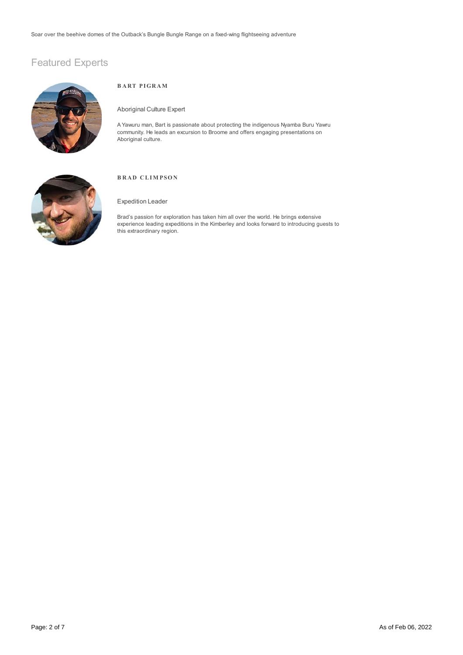## Featured Experts



#### **B A RT PIGR AM**

#### Aboriginal Culture Expert

A Yawuru man, Bart is passionate about protecting the indigenous Nyamba Buru Yawru community. He leads an excursion to Broome and offers engaging presentations on Aboriginal culture.



#### **B R A D C LIM PSO N**

#### Expedition Leader

Brad's passion for exploration has taken him all over the world. He brings extensive experience leading expeditions in the Kimberley and looks forward to introducing guests to this extraordinary region.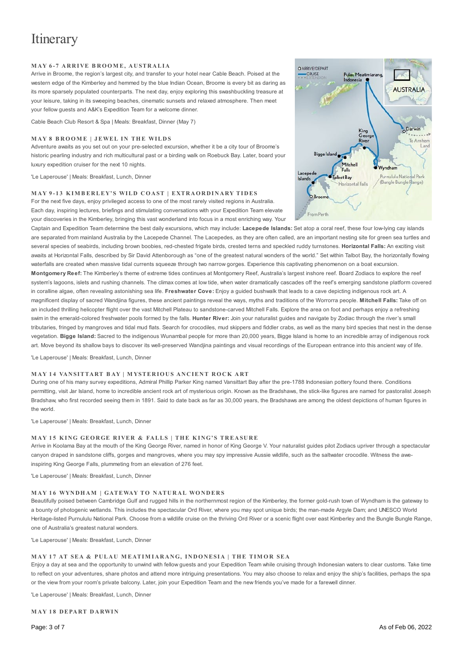## **Itinerary**

#### **M AY 6 - 7 A R R I VE B RO O M E, A U STR A LI A**

Arrive in Broome, the region's largest city, and transfer to your hotel near Cable Beach. Poised at the western edge of the Kimberley and hemmed by the blue Indian Ocean, Broome is every bit as daring as its more sparsely populated counterparts. The next day, enjoy exploring this swashbuckling treasure at your leisure, taking in its sweeping beaches, cinematic sunsets and relaxed atmosphere. Then meet your fellow guests and A&K's Expedition Team for a welcome dinner.

Cable Beach Club Resort & Spa | Meals: Breakfast, Dinner (May 7)

#### **M AY 8 B RO O M E | J EWEL I N TH E WILD S**

Adventure awaits as you set out on your pre-selected excursion, whether it be a city tour of Broome's historic pearling industry and rich multicultural past or a birding walk on Roebuck Bay. Later, board your luxury expedition cruiser for the next 10 nights.

'Le Laperouse' | Meals: Breakfast, Lunch, Dinner

#### MAY 9-13 KIMBERLEY'S WILD COAST | EXTRAORDINARY TIDES

For the next five days, enjoy privileged access to one of the most rarely visited regions in Australia. Each day, inspiring lectures, briefings and stimulating conversations with your Expedition Team elevate your discoveries in the Kimberley, bringing this vast wonderland into focus in a most enriching way. Your

Captain and Expedition Team determine the best daily excursions, which may include: **Lacepede Islands:** Set atop a coral reef, these four low-lying cay islands are separated from mainland Australia by the Lacepede Channel. The Lacepedes, as they are often called, are an important nesting site for green sea turtles and several species of seabirds, including brown boobies, red-chested frigate birds, crested terns and speckled ruddy turnstones. **Horizontal Falls:** An exciting visit awaits at Horizontal Falls, described by Sir David Attenborough as "one of the greatest natural wonders of the world." Set within Talbot Bay, the horizontally flowing waterfalls are created when massive tidal currents squeeze through two narrow gorges. Experience this captivating phenomenon on a boat excursion. **Montgomery Reef:** The Kimberley's theme of extreme tides continues at Montgomery Reef, Australia's largest inshore reef. Board Zodiacs to explore the reef system's lagoons, islets and rushing channels. The climax comes at low tide, when water dramatically cascades off the reef's emerging sandstone platform covered in coralline algae, often revealing astonishing sea life. **Freshwater Cove:** Enjoy a guided bushwalk that leads to a cave depicting indigenous rock art. A magnificent display of sacred Wandjina figures, these ancient paintings reveal the ways, myths and traditions of the Worrorra people. **Mitchell Falls:** Take off on an included thrilling helicopter flight over the vast Mitchell Plateau to sandstone-carved Mitchell Falls. Explore the area on foot and perhaps enjoy a refreshing swim in the emerald-colored freshwater pools formed by the falls. **Hunter River:** Join your naturalist guides and navigate by Zodiac through the river's small tributaries, fringed by mangroves and tidal mud flats. Search for crocodiles, mud skippers and fiddler crabs, as well as the many bird species that nest in the dense vegetation. **Bigge Island:** Sacred to the indigenous Wunambal people for more than 20,000 years, Bigge Island is home to an incredible array of indigenous rock art. Move beyond its shallow bays to discover its well-preserved Wandjina paintings and visual recordings of the European entrance into this ancient way of life.

'Le Laperouse' | Meals: Breakfast, Lunch, Dinner

#### **MAY 14 VANSITTART BAY | MYSTERIOUS ANCIENT ROCK ART**

During one of his many survey expeditions, Admiral Phillip Parker King named Vansittart Bay after the pre-1788 Indonesian pottery found there. Conditions permitting, visit Jar Island, home to incredible ancient rock art of mysterious origin. Known as the Bradshaws, the stick-like figures are named for pastoralist Joseph Bradshaw, who first recorded seeing them in 1891. Said to date back as far as 30,000 years, the Bradshaws are among the oldest depictions of human figures in the world.

'Le Laperouse' | Meals: Breakfast, Lunch, Dinner

#### MAY 15 KING GEORGE RIVER & FALLS | THE KING'S TREASURE

Arrive in Koolama Bay at the mouth of the King George River, named in honor of King George V. Your naturalist guides pilot Zodiacs upriver through a spectacular canyon draped in sandstone cliffs, gorges and mangroves, where you may spy impressive Aussie wildlife, such as the saltwater crocodile. Witness the aweinspiring King George Falls, plummeting from an elevation of 276 feet.

'Le Laperouse' | Meals: Breakfast, Lunch, Dinner

#### **M AY 1 6 WYN DH AM | GATEWAY TO N ATU R A L WO N D ER S**

Beautifully poised between Cambridge Gulf and rugged hills in the northernmost region of the Kimberley, the former gold-rush town of Wyndham is the gateway to a bounty of photogenic wetlands. This includes the spectacular Ord River, where you may spot unique birds; the man-made Argyle Dam; and UNESCO World Heritage-listed Purnululu National Park. Choose from a wildlife cruise on the thriving Ord River or a scenic flight over east Kimberley and the Bungle Bungle Range, one of Australia's greatest natural wonders.

'Le Laperouse' | Meals: Breakfast, Lunch, Dinner

#### MAY 17 AT SEA & PULAU MEATIMIARANG, INDONESIA | THE TIMOR SEA

Enjoy a day at sea and the opportunity to unwind with fellow guests and your Expedition Team while cruising through Indonesian waters to clear customs. Take time to reflect on your adventures, share photos and attend more intriguing presentations. You may also choose to relax and enjoy the ship's facilities, perhaps the spa or the view from your room's private balcony. Later, join your Expedition Team and the new friends you've made for a farewell dinner.

'Le Laperouse' | Meals: Breakfast, Lunch, Dinner

**M AY 1 8 D EPA RT D A RWI N**



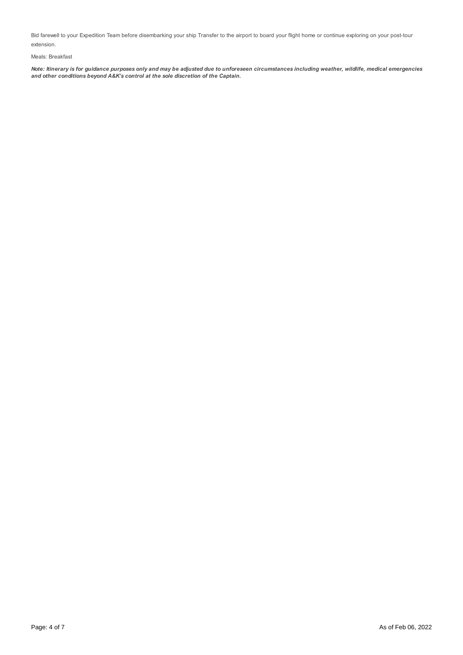Bid farewell to your Expedition Team before disembarking your ship Transfer to the airport to board your flight home or continue exploring on your post-tour extension.

#### Meals: Breakfast

Note: Itinerary is for guidance purposes only and may be adjusted due to unforeseen circumstances including weather, wildlife, medical emergencies *and other conditions beyond A&K's control at the sole discretion of the Captain.*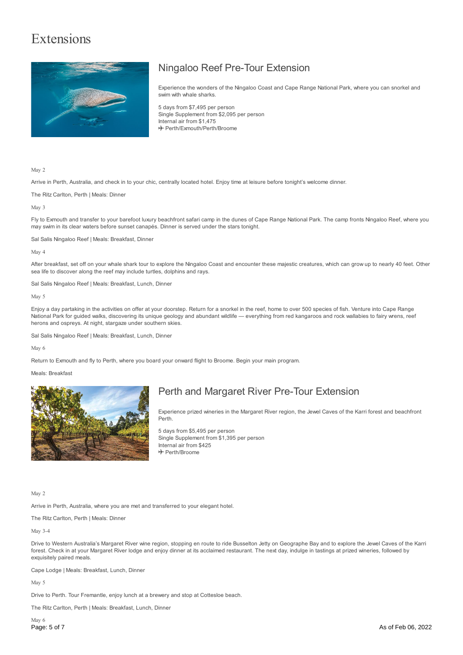## Extensions



## Ningaloo Reef Pre-Tour Extension

Experience the wonders of the Ningaloo Coast and Cape Range National Park, where you can snorkel and swim with whale sharks.

5 days from \$7,495 per person Single Supplement from \$2,095 per person Internal air from \$1,475 Perth/Exmouth/Perth/Broome

May 2

Arrive in Perth, Australia, and check in to your chic, centrally located hotel. Enjoy time at leisure before tonight's welcome dinner.

The Ritz Carlton, Perth | Meals: Dinner

May 3

Fly to Exmouth and transfer to your barefoot luxury beachfront safari camp in the dunes of Cape Range National Park. The camp fronts Ningaloo Reef, where you may swim in its clear waters before sunset canapés. Dinner is served under the stars tonight.

Sal Salis Ningaloo Reef | Meals: Breakfast, Dinner

May 4

After breakfast, set off on your whale shark tour to explore the Ningaloo Coast and encounter these majestic creatures, which can grow up to nearly 40 feet. Other sea life to discover along the reef may include turtles, dolphins and rays.

Sal Salis Ningaloo Reef | Meals: Breakfast, Lunch, Dinner

May 5

Enjoy a day partaking in the activities on offer at your doorstep. Return for a snorkel in the reef, home to over 500 species of fish. Venture into Cape Range National Park for guided walks, discovering its unique geology and abundant wildlife - everything from red kangaroos and rock wallabies to fairy wrens, reef herons and ospreys. At night, stargaze under southern skies.

Sal Salis Ningaloo Reef | Meals: Breakfast, Lunch, Dinner

May 6

Return to Exmouth and fly to Perth, where you board your onward flight to Broome. Begin your main program.

Meals: Breakfast



### Perth and Margaret River Pre-Tour Extension

Experience prized wineries in the Margaret River region, the Jewel Caves of the Karri forest and beachfront Perth.

5 days from \$5,495 per person Single Supplement from \$1,395 per person Internal air from \$425 Perth/Broome

May 2

Arrive in Perth, Australia, where you are met and transferred to your elegant hotel.

The Ritz Carlton, Perth | Meals: Dinner

May 3-4

Drive to Western Australia's Margaret River wine region, stopping en route to ride Busselton Jetty on Geographe Bay and to explore the Jewel Caves of the Karri forest. Check in at your Margaret River lodge and enjoy dinner at its acclaimed restaurant. The next day, indulge in tastings at prized wineries, followed by exquisitely paired meals.

Cape Lodge | Meals: Breakfast, Lunch, Dinner

May 5

Drive to Perth. Tour Fremantle, enjoy lunch at a brewery and stop at Cottesloe beach.

The Ritz Carlton, Perth | Meals: Breakfast, Lunch, Dinner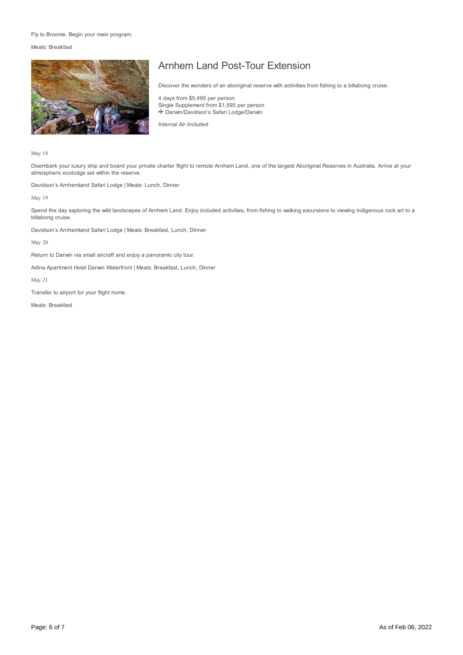#### Fly to Broome. Begin your main program.

Meals: Breakfast



## Arnhem Land Post-Tour Extension

Discover the wonders of an aboriginal reserve with activities from fishing to a billabong cruise.

4 days from \$5,495 per person Single Supplement from \$1,595 per person + Darwin/Davidson's Safari Lodge/Darwin

*Internal Air Included*

May 18

Disembark your luxury ship and board your private charter flight to remote Arnhem Land, one of the largest Aboriginal Reserves in Australia. Arrive at your atmospheric ecolodge set within the reserve.

Davidson's Arnhemland Safari Lodge | Meals: Lunch, Dinner

May 19

Spend the day exploring the wild landscapes of Arnhem Land. Enjoy included activities, from fishing to walking excursions to viewing indigenous rock art to a billabong cruise.

Davidson's Arnhemland Safari Lodge | Meals: Breakfast, Lunch, Dinner

May 20

Return to Darwin via small aircraft and enjoy a panoramic city tour.

Adina Apartment Hotel Darwin Waterfront | Meals: Breakfast, Lunch, Dinner

May 21

Transfer to airport for your flight home.

Meals: Breakfast